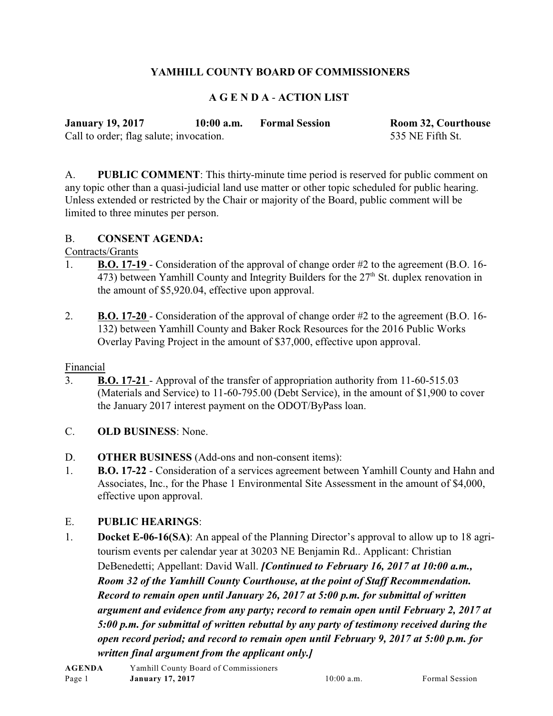# **YAMHILL COUNTY BOARD OF COMMISSIONERS**

## **A G E N D A** - **ACTION LIST**

| <b>January 19, 2017</b>                 | $10:00$ a.m. | <b>Formal Session</b> | Room 32, Courthouse |
|-----------------------------------------|--------------|-----------------------|---------------------|
| Call to order; flag salute; invocation. |              |                       | 535 NE Fifth St.    |

A. **PUBLIC COMMENT**: This thirty-minute time period is reserved for public comment on any topic other than a quasi-judicial land use matter or other topic scheduled for public hearing. Unless extended or restricted by the Chair or majority of the Board, public comment will be limited to three minutes per person.

#### B. **CONSENT AGENDA:**

Contracts/Grants

- 1. **B.O. 17-19**  Consideration of the approval of change order #2 to the agreement (B.O. 16-  $\overline{473}$ ) between Yamhill County and Integrity Builders for the  $27<sup>th</sup>$  St. duplex renovation in the amount of \$5,920.04, effective upon approval.
- 2. **B.O. 17-20**  Consideration of the approval of change order #2 to the agreement (B.O. 16- 132) between Yamhill County and Baker Rock Resources for the 2016 Public Works Overlay Paving Project in the amount of \$37,000, effective upon approval.

### Financial

- 3. **B.O. 17-21**  Approval of the transfer of appropriation authority from 11-60-515.03 (Materials and Service) to 11-60-795.00 (Debt Service), in the amount of \$1,900 to cover the January 2017 interest payment on the ODOT/ByPass loan.
- C. **OLD BUSINESS**: None.
- D. **OTHER BUSINESS** (Add-ons and non-consent items):
- 1. **B.O. 17-22**  Consideration of a services agreement between Yamhill County and Hahn and Associates, Inc., for the Phase 1 Environmental Site Assessment in the amount of \$4,000, effective upon approval.

### E. **PUBLIC HEARINGS**:

1. **Docket E-06-16(SA)**: An appeal of the Planning Director's approval to allow up to 18 agritourism events per calendar year at 30203 NE Benjamin Rd.. Applicant: Christian DeBenedetti; Appellant: David Wall. *[Continued to February 16, 2017 at 10:00 a.m., Room 32 of the Yamhill County Courthouse, at the point of Staff Recommendation. Record to remain open until January 26, 2017 at 5:00 p.m. for submittal of written argument and evidence from any party; record to remain open until February 2, 2017 at 5:00 p.m. for submittal of written rebuttal by any party of testimony received during the open record period; and record to remain open until February 9, 2017 at 5:00 p.m. for written final argument from the applicant only.]*